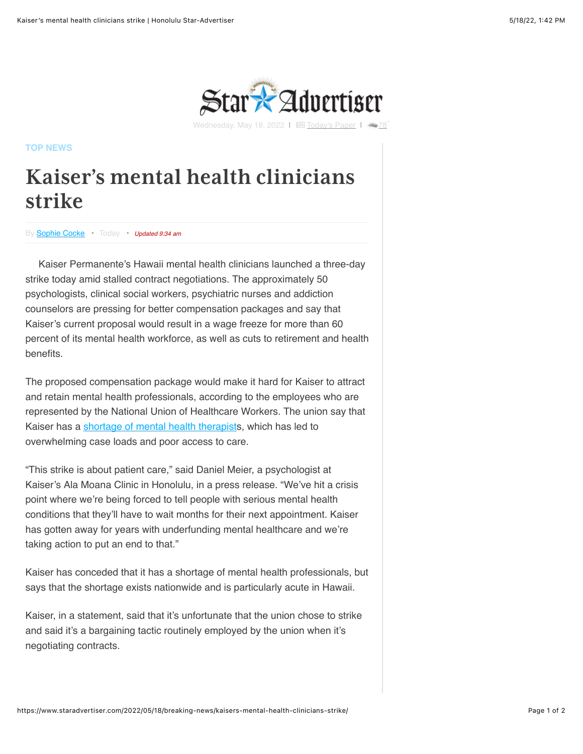

Wednesday, May 18, 2022 | I I [Today's Paper](https://www.staradvertiser.com/redirect/?redirect_to=https%3A%2F%2Fprintreplica.staradvertiser.com%2F) |

**[TOP NEWS](https://www.staradvertiser.com/category/breaking-news/)**

## **Kaiser's mental health clinicians strike**

By [Sophie Cocke](https://www.staradvertiser.com/author/scocke/) • Today • *Updated 9:34 am*

Kaiser Permanente's Hawaii mental health clinicians launched a three-day strike today amid stalled contract negotiations. The approximately 50 psychologists, clinical social workers, psychiatric nurses and addiction counselors are pressing for better compensation packages and say that Kaiser's current proposal would result in a wage freeze for more than 60 percent of its mental health workforce, as well as cuts to retirement and health benefits.

The proposed compensation package would make it hard for Kaiser to attract and retain mental health professionals, according to the employees who are represented by the National Union of Healthcare Workers. The union say that Kaiser has a [shortage of mental health therapists](https://www.staradvertiser.com/redirect/?redirect_to=https%3A%2F%2Fwww.staradvertiser.com%2F2021%2F11%2F04%2Fhawaii-news%2Fkaiser-mental-health-workers-threaten-strike%2F), which has led to overwhelming case loads and poor access to care.

"This strike is about patient care," said Daniel Meier, a psychologist at Kaiser's Ala Moana Clinic in Honolulu, in a press release. "We've hit a crisis point where we're being forced to tell people with serious mental health conditions that they'll have to wait months for their next appointment. Kaiser has gotten away for years with underfunding mental healthcare and we're taking action to put an end to that."

Kaiser has conceded that it has a shortage of mental health professionals, but says that the shortage exists nationwide and is particularly acute in Hawaii.

Kaiser, in a statement, said that it's unfortunate that the union chose to strike and said it's a bargaining tactic routinely employed by the union when it's negotiating contracts.